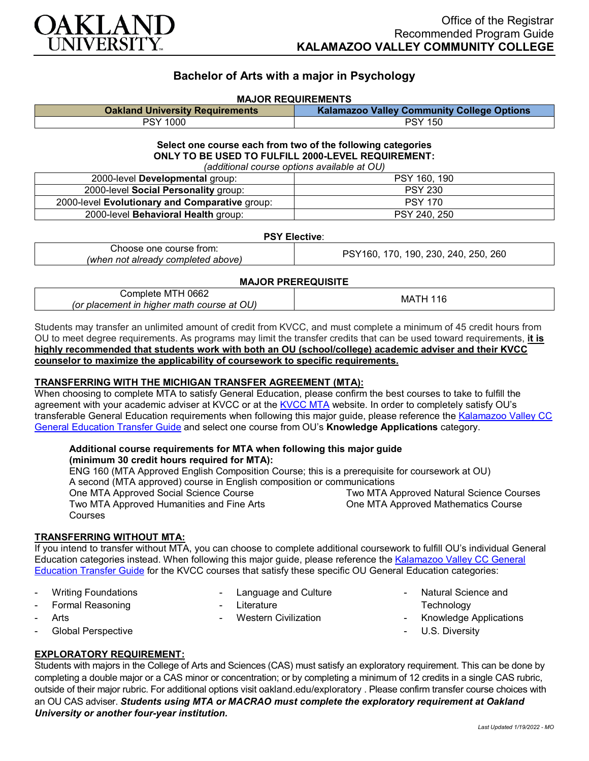

# **Bachelor of Arts with a major in Psychology**

#### **MAJOR REQUIREMENTS**

| <b>Oakland University Requirements</b> | <b>Kalamazoo Valley Community College Options</b> |
|----------------------------------------|---------------------------------------------------|
| PSY 1000                               | <b>PSY 150</b>                                    |

#### **Select one course each from two of the following categories ONLY TO BE USED TO FULFILL 2000-LEVEL REQUIREMENT:** *(additional course options available at OU)*

| (additional course options available at OO)    |                |  |
|------------------------------------------------|----------------|--|
| 2000-level Developmental group:                | PSY 160, 190   |  |
| 2000-level Social Personality group:           | <b>PSY 230</b> |  |
| 2000-level Evolutionary and Comparative group: | <b>PSY 170</b> |  |
| 2000-level <b>Behavioral Health</b> group:     | PSY 240, 250   |  |

## **PSY Elective**:

| trom:<br>∴ourse '<br>one                                         | 260<br>ж<br>90<br>230<br>250.<br>240<br>$\prime$ () |
|------------------------------------------------------------------|-----------------------------------------------------|
| ----------<br>' above.<br>aireadv<br>not<br>(whei<br>' comnieted |                                                     |

## **MAJOR PREREQUISITE**

| 0662<br>じomplete '<br>M<br>. .<br>E<br>O <sub>U</sub><br>hiaher math c<br>or)<br>placement in<br>course<br>at | MA.<br>$\sim$ |
|---------------------------------------------------------------------------------------------------------------|---------------|
|---------------------------------------------------------------------------------------------------------------|---------------|

Students may transfer an unlimited amount of credit from KVCC, and must complete a minimum of 45 credit hours from OU to meet degree requirements. As programs may limit the transfer credits that can be used toward requirements, **it is highly recommended that students work with both an OU (school/college) academic adviser and their KVCC counselor to maximize the applicability of coursework to specific requirements.**

## **TRANSFERRING WITH THE MICHIGAN TRANSFER AGREEMENT (MTA):**

When choosing to complete MTA to satisfy General Education, please confirm the best courses to take to fulfill the agreement with your academic adviser at KVCC or at the [KVCC MTA](https://kvcc.smartcatalogiq.com/2020-2021/Catalog/Programs-of-Study-by-Pathway/General-Transfer-Program-Information/Michigan-Transfer-Agreement) website. In order to completely satisfy OU's transferable General Education requirements when following this major guide, please reference the Kalamazoo Valley CC [General Education Transfer Guide](https://www.oakland.edu/Assets/Oakland/program-guides/kalamazoo-valley-community-college/university-general-education-requirements/Kalamazoo%20Valley%20Gen%20Ed.pdf) and select one course from OU's **Knowledge Applications** category.

#### **Additional course requirements for MTA when following this major guide (minimum 30 credit hours required for MTA):**

ENG 160 (MTA Approved English Composition Course; this is a prerequisite for coursework at OU) A second (MTA approved) course in English composition or communications One MTA Approved Social Science Course Two MTA Approved Humanities and Fine Arts Courses Two MTA Approved Natural Science Courses One MTA Approved Mathematics Course

## **TRANSFERRING WITHOUT MTA:**

If you intend to transfer without MTA, you can choose to complete additional coursework to fulfill OU's individual General Education categories instead. When following this major guide, please reference the Kalamazoo Valley CC General [Education Transfer Guide](https://www.oakland.edu/Assets/Oakland/program-guides/kalamazoo-valley-community-college/university-general-education-requirements/Kalamazoo%20Valley%20Gen%20Ed.pdf) for the KVCC courses that satisfy these specific OU General Education categories:

Writing Foundations

Language and Culture

Western Civilization

Formal Reasoning

- Literature
- **Arts**
- Global Perspective

## **EXPLORATORY REQUIREMENT:**

Students with majors in the College of Arts and Sciences (CAS) must satisfy an exploratory requirement. This can be done by completing a double major or a CAS minor or concentration; or by completing a minimum of 12 credits in a single CAS rubric, outside of their major rubric. For additional options visit [oakland.edu/exploratory](http://www.oakland.edu/exploratory) . Please confirm transfer course choices with an OU CAS adviser. *Students using MTA or MACRAO must complete the exploratory requirement at Oakland University or another four-year institution.*

Natural Science and

- Knowledge Applications

Technology

U.S. Diversity